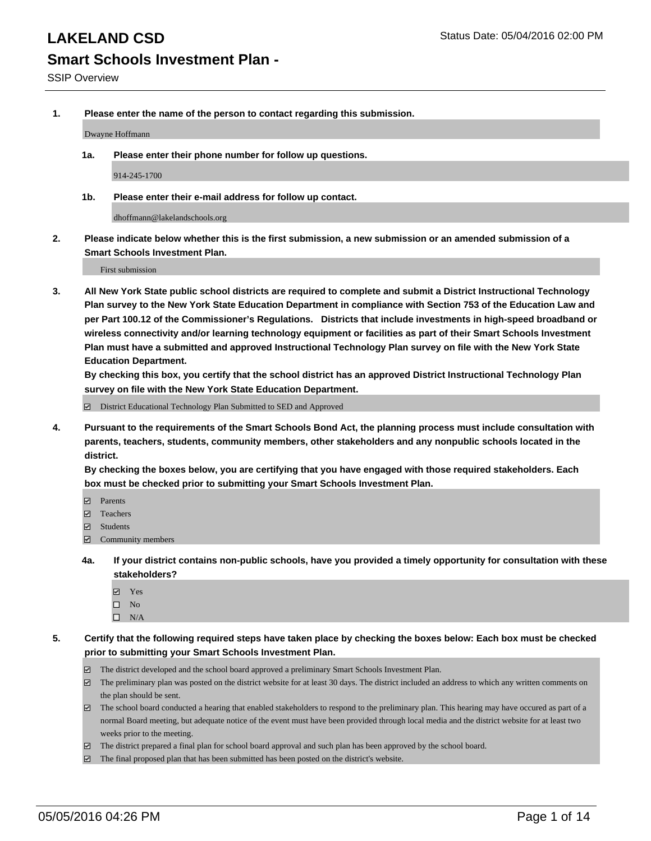**1. Please enter the name of the person to contact regarding this submission.**

Dwayne Hoffmann

**1a. Please enter their phone number for follow up questions.**

914-245-1700

**1b. Please enter their e-mail address for follow up contact.**

dhoffmann@lakelandschools.org

**2. Please indicate below whether this is the first submission, a new submission or an amended submission of a Smart Schools Investment Plan.**

First submission

**3. All New York State public school districts are required to complete and submit a District Instructional Technology Plan survey to the New York State Education Department in compliance with Section 753 of the Education Law and per Part 100.12 of the Commissioner's Regulations. Districts that include investments in high-speed broadband or wireless connectivity and/or learning technology equipment or facilities as part of their Smart Schools Investment Plan must have a submitted and approved Instructional Technology Plan survey on file with the New York State Education Department.** 

**By checking this box, you certify that the school district has an approved District Instructional Technology Plan survey on file with the New York State Education Department.**

■ District Educational Technology Plan Submitted to SED and Approved

**4. Pursuant to the requirements of the Smart Schools Bond Act, the planning process must include consultation with parents, teachers, students, community members, other stakeholders and any nonpublic schools located in the district.** 

**By checking the boxes below, you are certifying that you have engaged with those required stakeholders. Each box must be checked prior to submitting your Smart Schools Investment Plan.**

- **Parents**
- □ Teachers
- Students
- $\boxdot$  Community members
- **4a. If your district contains non-public schools, have you provided a timely opportunity for consultation with these stakeholders?**
	- Yes
	- $\square$  No
	- $\Box$  N/A
- **5. Certify that the following required steps have taken place by checking the boxes below: Each box must be checked prior to submitting your Smart Schools Investment Plan.**
	- The district developed and the school board approved a preliminary Smart Schools Investment Plan.
	- The preliminary plan was posted on the district website for at least 30 days. The district included an address to which any written comments on the plan should be sent.
	- $\Box$  The school board conducted a hearing that enabled stakeholders to respond to the preliminary plan. This hearing may have occured as part of a normal Board meeting, but adequate notice of the event must have been provided through local media and the district website for at least two weeks prior to the meeting.
	- The district prepared a final plan for school board approval and such plan has been approved by the school board.
	- The final proposed plan that has been submitted has been posted on the district's website.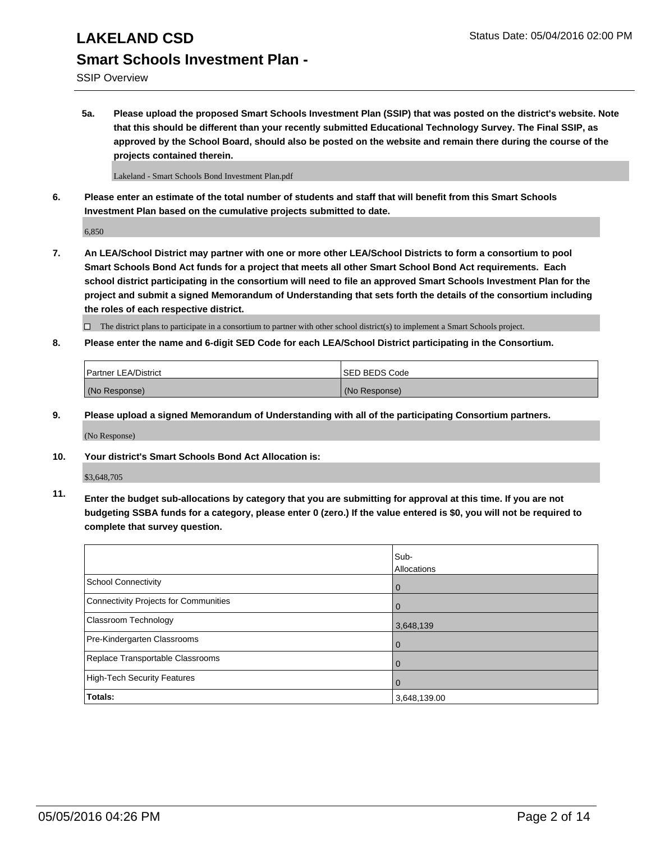SSIP Overview

**5a. Please upload the proposed Smart Schools Investment Plan (SSIP) that was posted on the district's website. Note that this should be different than your recently submitted Educational Technology Survey. The Final SSIP, as approved by the School Board, should also be posted on the website and remain there during the course of the projects contained therein.**

Lakeland - Smart Schools Bond Investment Plan.pdf

**6. Please enter an estimate of the total number of students and staff that will benefit from this Smart Schools Investment Plan based on the cumulative projects submitted to date.**

6,850

**7. An LEA/School District may partner with one or more other LEA/School Districts to form a consortium to pool Smart Schools Bond Act funds for a project that meets all other Smart School Bond Act requirements. Each school district participating in the consortium will need to file an approved Smart Schools Investment Plan for the project and submit a signed Memorandum of Understanding that sets forth the details of the consortium including the roles of each respective district.**

 $\Box$  The district plans to participate in a consortium to partner with other school district(s) to implement a Smart Schools project.

**8. Please enter the name and 6-digit SED Code for each LEA/School District participating in the Consortium.**

| Partner LEA/District | <b>ISED BEDS Code</b> |
|----------------------|-----------------------|
| (No Response)        | (No Response)         |

**9. Please upload a signed Memorandum of Understanding with all of the participating Consortium partners.**

(No Response)

**10. Your district's Smart Schools Bond Act Allocation is:**

\$3,648,705

**11. Enter the budget sub-allocations by category that you are submitting for approval at this time. If you are not budgeting SSBA funds for a category, please enter 0 (zero.) If the value entered is \$0, you will not be required to complete that survey question.**

|                                       | Sub-<br>Allocations |
|---------------------------------------|---------------------|
| <b>School Connectivity</b>            | 0                   |
| Connectivity Projects for Communities |                     |
| Classroom Technology                  | 3,648,139           |
| Pre-Kindergarten Classrooms           | $\Omega$            |
| Replace Transportable Classrooms      | $\Omega$            |
| High-Tech Security Features           | 0                   |
| Totals:                               | 3,648,139.00        |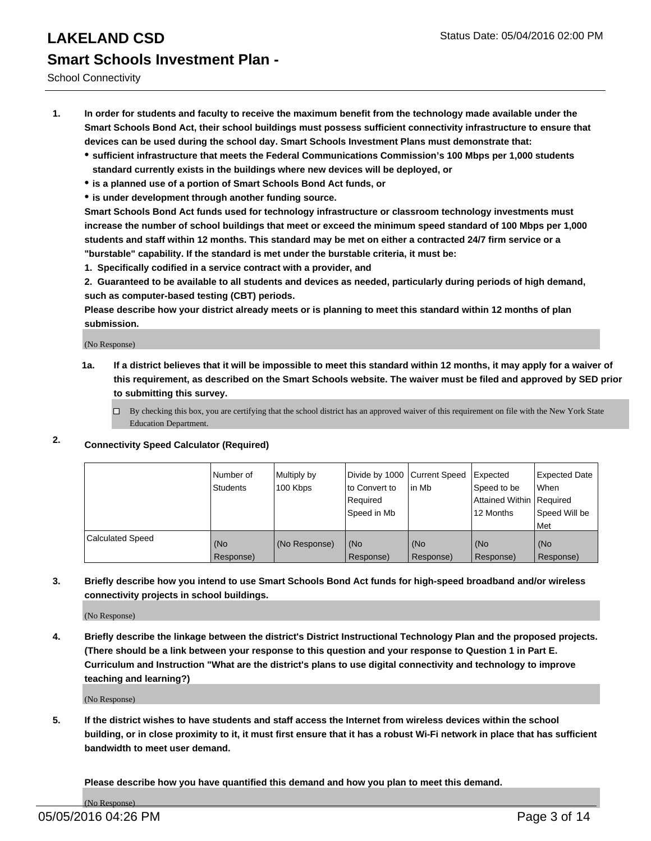School Connectivity

- **1. In order for students and faculty to receive the maximum benefit from the technology made available under the Smart Schools Bond Act, their school buildings must possess sufficient connectivity infrastructure to ensure that devices can be used during the school day. Smart Schools Investment Plans must demonstrate that:**
	- **sufficient infrastructure that meets the Federal Communications Commission's 100 Mbps per 1,000 students standard currently exists in the buildings where new devices will be deployed, or**
	- **is a planned use of a portion of Smart Schools Bond Act funds, or**
	- **is under development through another funding source.**

**Smart Schools Bond Act funds used for technology infrastructure or classroom technology investments must increase the number of school buildings that meet or exceed the minimum speed standard of 100 Mbps per 1,000 students and staff within 12 months. This standard may be met on either a contracted 24/7 firm service or a "burstable" capability. If the standard is met under the burstable criteria, it must be:**

**1. Specifically codified in a service contract with a provider, and**

**2. Guaranteed to be available to all students and devices as needed, particularly during periods of high demand, such as computer-based testing (CBT) periods.**

**Please describe how your district already meets or is planning to meet this standard within 12 months of plan submission.**

(No Response)

- **1a. If a district believes that it will be impossible to meet this standard within 12 months, it may apply for a waiver of this requirement, as described on the Smart Schools website. The waiver must be filed and approved by SED prior to submitting this survey.**
	- □ By checking this box, you are certifying that the school district has an approved waiver of this requirement on file with the New York State Education Department.
- **2. Connectivity Speed Calculator (Required)**

|                         | Number of<br>Students | Multiply by<br>100 Kbps | Divide by 1000 Current Speed<br>to Convert to<br>Reauired<br>Speed in Mb | lin Mb             | Expected<br>Speed to be<br>Attained Within   Required<br>12 Months | <b>Expected Date</b><br>l When<br>Speed Will be<br>l Met |
|-------------------------|-----------------------|-------------------------|--------------------------------------------------------------------------|--------------------|--------------------------------------------------------------------|----------------------------------------------------------|
| <b>Calculated Speed</b> | (No<br>Response)      | (No Response)           | (No<br>Response)                                                         | l (No<br>Response) | (No<br>Response)                                                   | l (No<br>Response)                                       |

### **3. Briefly describe how you intend to use Smart Schools Bond Act funds for high-speed broadband and/or wireless connectivity projects in school buildings.**

(No Response)

**4. Briefly describe the linkage between the district's District Instructional Technology Plan and the proposed projects. (There should be a link between your response to this question and your response to Question 1 in Part E. Curriculum and Instruction "What are the district's plans to use digital connectivity and technology to improve teaching and learning?)**

(No Response)

**5. If the district wishes to have students and staff access the Internet from wireless devices within the school building, or in close proximity to it, it must first ensure that it has a robust Wi-Fi network in place that has sufficient bandwidth to meet user demand.**

**Please describe how you have quantified this demand and how you plan to meet this demand.**

(No Response)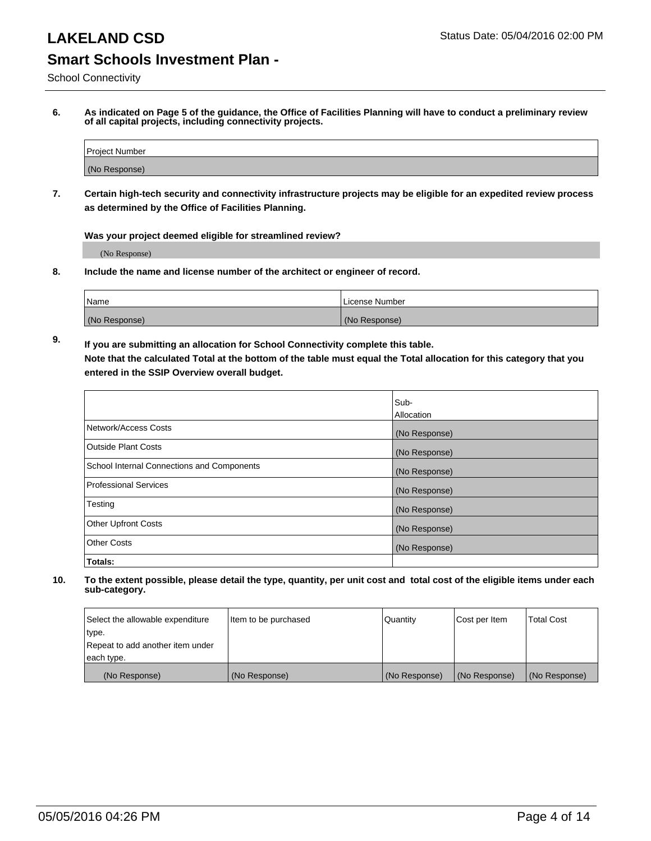School Connectivity

**6. As indicated on Page 5 of the guidance, the Office of Facilities Planning will have to conduct a preliminary review of all capital projects, including connectivity projects.**

| Project Number |  |
|----------------|--|
| (No Response)  |  |

**7. Certain high-tech security and connectivity infrastructure projects may be eligible for an expedited review process as determined by the Office of Facilities Planning.**

**Was your project deemed eligible for streamlined review?**

(No Response)

**8. Include the name and license number of the architect or engineer of record.**

| Name          | l License Number |
|---------------|------------------|
| (No Response) | (No Response)    |

**9. If you are submitting an allocation for School Connectivity complete this table. Note that the calculated Total at the bottom of the table must equal the Total allocation for this category that you entered in the SSIP Overview overall budget.** 

|                                            | Sub-              |
|--------------------------------------------|-------------------|
|                                            | <b>Allocation</b> |
| Network/Access Costs                       | (No Response)     |
| <b>Outside Plant Costs</b>                 | (No Response)     |
| School Internal Connections and Components | (No Response)     |
| <b>Professional Services</b>               | (No Response)     |
| Testing                                    | (No Response)     |
| <b>Other Upfront Costs</b>                 | (No Response)     |
| <b>Other Costs</b>                         | (No Response)     |
| Totals:                                    |                   |

| Select the allowable expenditure | Item to be purchased | Quantity      | Cost per Item | Total Cost    |
|----------------------------------|----------------------|---------------|---------------|---------------|
| type.                            |                      |               |               |               |
| Repeat to add another item under |                      |               |               |               |
| each type.                       |                      |               |               |               |
| (No Response)                    | (No Response)        | (No Response) | (No Response) | (No Response) |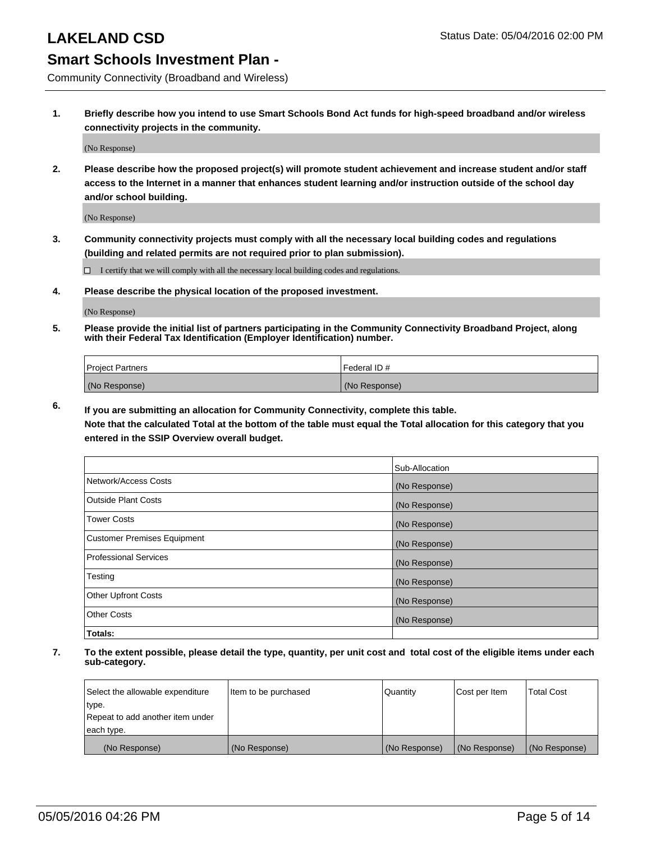Community Connectivity (Broadband and Wireless)

**1. Briefly describe how you intend to use Smart Schools Bond Act funds for high-speed broadband and/or wireless connectivity projects in the community.**

(No Response)

**2. Please describe how the proposed project(s) will promote student achievement and increase student and/or staff access to the Internet in a manner that enhances student learning and/or instruction outside of the school day and/or school building.**

(No Response)

**3. Community connectivity projects must comply with all the necessary local building codes and regulations (building and related permits are not required prior to plan submission).**

 $\Box$  I certify that we will comply with all the necessary local building codes and regulations.

**4. Please describe the physical location of the proposed investment.**

(No Response)

**5. Please provide the initial list of partners participating in the Community Connectivity Broadband Project, along with their Federal Tax Identification (Employer Identification) number.**

| <b>Project Partners</b> | <b>IFederal ID#</b> |
|-------------------------|---------------------|
| (No Response)           | (No Response)       |

**6. If you are submitting an allocation for Community Connectivity, complete this table.**

**Note that the calculated Total at the bottom of the table must equal the Total allocation for this category that you entered in the SSIP Overview overall budget.**

|                                    | Sub-Allocation |
|------------------------------------|----------------|
| Network/Access Costs               | (No Response)  |
| Outside Plant Costs                | (No Response)  |
| <b>Tower Costs</b>                 | (No Response)  |
| <b>Customer Premises Equipment</b> | (No Response)  |
| Professional Services              | (No Response)  |
| Testing                            | (No Response)  |
| <b>Other Upfront Costs</b>         | (No Response)  |
| <b>Other Costs</b>                 | (No Response)  |
| Totals:                            |                |

| Select the allowable expenditure | ltem to be purchased | Quantity      | Cost per Item | <b>Total Cost</b> |
|----------------------------------|----------------------|---------------|---------------|-------------------|
| type.                            |                      |               |               |                   |
| Repeat to add another item under |                      |               |               |                   |
| each type.                       |                      |               |               |                   |
| (No Response)                    | (No Response)        | (No Response) | (No Response) | (No Response)     |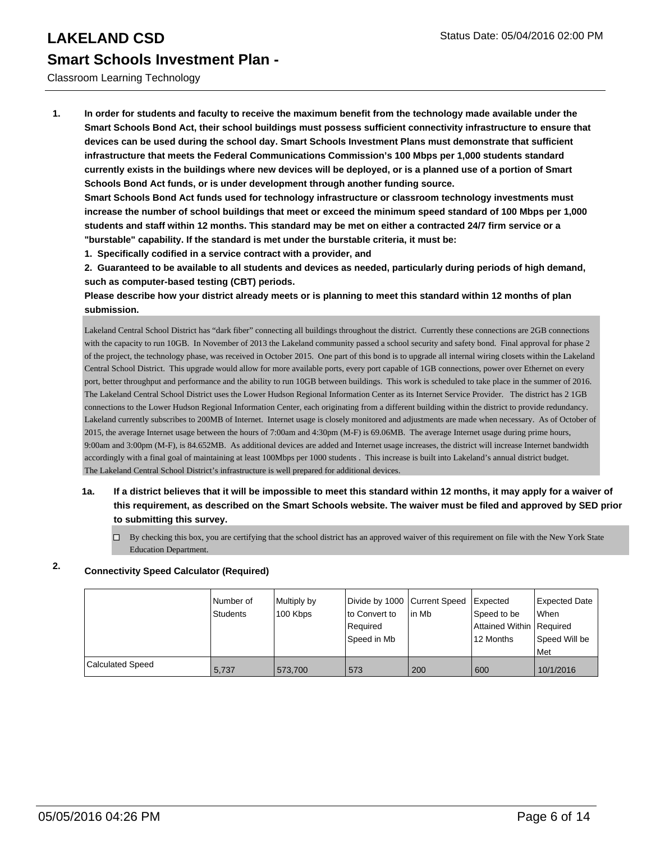Classroom Learning Technology

**1. In order for students and faculty to receive the maximum benefit from the technology made available under the Smart Schools Bond Act, their school buildings must possess sufficient connectivity infrastructure to ensure that devices can be used during the school day. Smart Schools Investment Plans must demonstrate that sufficient infrastructure that meets the Federal Communications Commission's 100 Mbps per 1,000 students standard currently exists in the buildings where new devices will be deployed, or is a planned use of a portion of Smart Schools Bond Act funds, or is under development through another funding source.**

**Smart Schools Bond Act funds used for technology infrastructure or classroom technology investments must increase the number of school buildings that meet or exceed the minimum speed standard of 100 Mbps per 1,000 students and staff within 12 months. This standard may be met on either a contracted 24/7 firm service or a "burstable" capability. If the standard is met under the burstable criteria, it must be:**

**1. Specifically codified in a service contract with a provider, and**

**2. Guaranteed to be available to all students and devices as needed, particularly during periods of high demand, such as computer-based testing (CBT) periods.**

**Please describe how your district already meets or is planning to meet this standard within 12 months of plan submission.**

Lakeland Central School District has "dark fiber" connecting all buildings throughout the district. Currently these connections are 2GB connections with the capacity to run 10GB. In November of 2013 the Lakeland community passed a school security and safety bond. Final approval for phase 2 of the project, the technology phase, was received in October 2015. One part of this bond is to upgrade all internal wiring closets within the Lakeland Central School District. This upgrade would allow for more available ports, every port capable of 1GB connections, power over Ethernet on every port, better throughput and performance and the ability to run 10GB between buildings. This work is scheduled to take place in the summer of 2016. The Lakeland Central School District uses the Lower Hudson Regional Information Center as its Internet Service Provider. The district has 2 1GB connections to the Lower Hudson Regional Information Center, each originating from a different building within the district to provide redundancy. Lakeland currently subscribes to 200MB of Internet. Internet usage is closely monitored and adjustments are made when necessary. As of October of 2015, the average Internet usage between the hours of 7:00am and 4:30pm (M-F) is 69.06MB. The average Internet usage during prime hours, 9:00am and 3:00pm (M-F), is 84.652MB. As additional devices are added and Internet usage increases, the district will increase Internet bandwidth accordingly with a final goal of maintaining at least 100Mbps per 1000 students . This increase is built into Lakeland's annual district budget. The Lakeland Central School District's infrastructure is well prepared for additional devices.

- **1a. If a district believes that it will be impossible to meet this standard within 12 months, it may apply for a waiver of this requirement, as described on the Smart Schools website. The waiver must be filed and approved by SED prior to submitting this survey.**
	- $\Box$  By checking this box, you are certifying that the school district has an approved waiver of this requirement on file with the New York State Education Department.

## **2. Connectivity Speed Calculator (Required)**

|                  | INumber of<br>Students | Multiply by<br>100 Kbps | Divide by 1000 Current Speed<br>to Convert to<br>l Reauired<br>Speed in Mb | lin Mb | Expected<br>Speed to be<br>Attained Within   Required<br>12 Months | Expected Date<br>l When<br>Speed Will be<br>l Met |
|------------------|------------------------|-------------------------|----------------------------------------------------------------------------|--------|--------------------------------------------------------------------|---------------------------------------------------|
| Calculated Speed | 5.737                  | 573,700                 | 573                                                                        | 200    | 600                                                                | 10/1/2016                                         |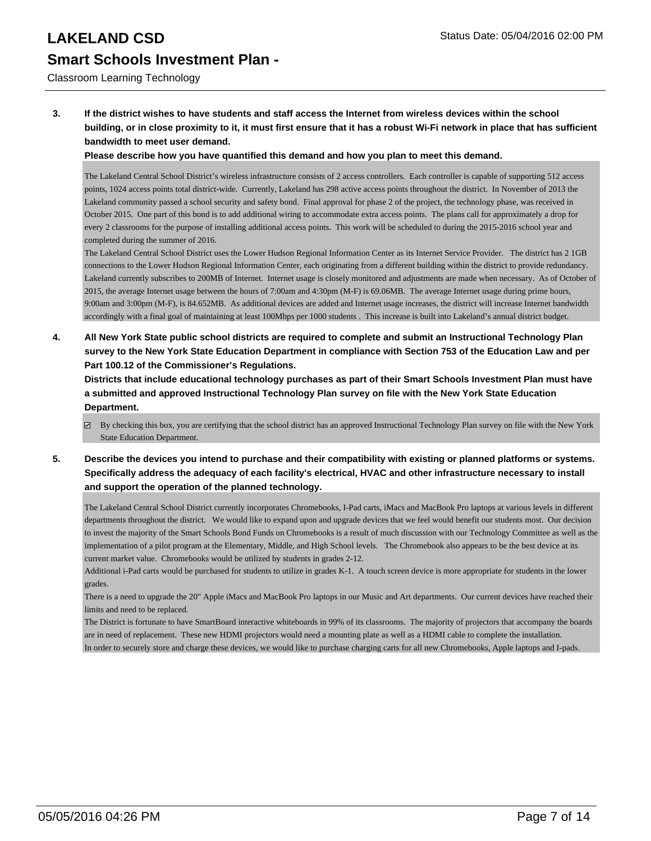### Classroom Learning Technology

**3. If the district wishes to have students and staff access the Internet from wireless devices within the school building, or in close proximity to it, it must first ensure that it has a robust Wi-Fi network in place that has sufficient bandwidth to meet user demand.**

### **Please describe how you have quantified this demand and how you plan to meet this demand.**

The Lakeland Central School District's wireless infrastructure consists of 2 access controllers. Each controller is capable of supporting 512 access points, 1024 access points total district-wide. Currently, Lakeland has 298 active access points throughout the district. In November of 2013 the Lakeland community passed a school security and safety bond. Final approval for phase 2 of the project, the technology phase, was received in October 2015. One part of this bond is to add additional wiring to accommodate extra access points. The plans call for approximately a drop for every 2 classrooms for the purpose of installing additional access points. This work will be scheduled to during the 2015-2016 school year and completed during the summer of 2016.

The Lakeland Central School District uses the Lower Hudson Regional Information Center as its Internet Service Provider. The district has 2 1GB connections to the Lower Hudson Regional Information Center, each originating from a different building within the district to provide redundancy. Lakeland currently subscribes to 200MB of Internet. Internet usage is closely monitored and adjustments are made when necessary. As of October of 2015, the average Internet usage between the hours of 7:00am and 4:30pm (M-F) is 69.06MB. The average Internet usage during prime hours, 9:00am and 3:00pm (M-F), is 84.652MB. As additional devices are added and Internet usage increases, the district will increase Internet bandwidth accordingly with a final goal of maintaining at least 100Mbps per 1000 students . This increase is built into Lakeland's annual district budget.

**4. All New York State public school districts are required to complete and submit an Instructional Technology Plan survey to the New York State Education Department in compliance with Section 753 of the Education Law and per Part 100.12 of the Commissioner's Regulations.**

**Districts that include educational technology purchases as part of their Smart Schools Investment Plan must have a submitted and approved Instructional Technology Plan survey on file with the New York State Education Department.**

- By checking this box, you are certifying that the school district has an approved Instructional Technology Plan survey on file with the New York State Education Department.
- **5. Describe the devices you intend to purchase and their compatibility with existing or planned platforms or systems. Specifically address the adequacy of each facility's electrical, HVAC and other infrastructure necessary to install and support the operation of the planned technology.**

The Lakeland Central School District currently incorporates Chromebooks, I-Pad carts, iMacs and MacBook Pro laptops at various levels in different departments throughout the district. We would like to expand upon and upgrade devices that we feel would benefit our students most. Our decision to invest the majority of the Smart Schools Bond Funds on Chromebooks is a result of much discussion with our Technology Committee as well as the implementation of a pilot program at the Elementary, Middle, and High School levels. The Chromebook also appears to be the best device at its current market value. Chromebooks would be utilized by students in grades 2-12.

Additional i-Pad carts would be purchased for students to utilize in grades K-1. A touch screen device is more appropriate for students in the lower grades.

There is a need to upgrade the 20" Apple iMacs and MacBook Pro laptops in our Music and Art departments. Our current devices have reached their limits and need to be replaced.

The District is fortunate to have SmartBoard interactive whiteboards in 99% of its classrooms. The majority of projectors that accompany the boards are in need of replacement. These new HDMI projectors would need a mounting plate as well as a HDMI cable to complete the installation. In order to securely store and charge these devices, we would like to purchase charging carts for all new Chromebooks, Apple laptops and I-pads.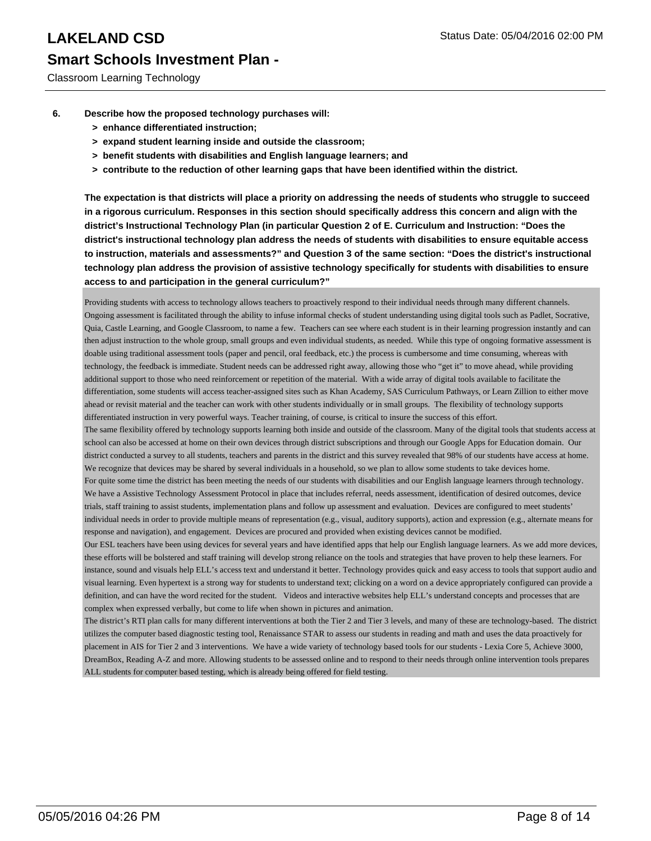Classroom Learning Technology

- **6. Describe how the proposed technology purchases will:**
	- **> enhance differentiated instruction;**
	- **> expand student learning inside and outside the classroom;**
	- **> benefit students with disabilities and English language learners; and**
	- **> contribute to the reduction of other learning gaps that have been identified within the district.**

**The expectation is that districts will place a priority on addressing the needs of students who struggle to succeed in a rigorous curriculum. Responses in this section should specifically address this concern and align with the district's Instructional Technology Plan (in particular Question 2 of E. Curriculum and Instruction: "Does the district's instructional technology plan address the needs of students with disabilities to ensure equitable access to instruction, materials and assessments?" and Question 3 of the same section: "Does the district's instructional technology plan address the provision of assistive technology specifically for students with disabilities to ensure access to and participation in the general curriculum?"**

Providing students with access to technology allows teachers to proactively respond to their individual needs through many different channels. Ongoing assessment is facilitated through the ability to infuse informal checks of student understanding using digital tools such as Padlet, Socrative, Quia, Castle Learning, and Google Classroom, to name a few. Teachers can see where each student is in their learning progression instantly and can then adjust instruction to the whole group, small groups and even individual students, as needed. While this type of ongoing formative assessment is doable using traditional assessment tools (paper and pencil, oral feedback, etc.) the process is cumbersome and time consuming, whereas with technology, the feedback is immediate. Student needs can be addressed right away, allowing those who "get it" to move ahead, while providing additional support to those who need reinforcement or repetition of the material. With a wide array of digital tools available to facilitate the differentiation, some students will access teacher-assigned sites such as Khan Academy, SAS Curriculum Pathways, or Learn Zillion to either move ahead or revisit material and the teacher can work with other students individually or in small groups. The flexibility of technology supports differentiated instruction in very powerful ways. Teacher training, of course, is critical to insure the success of this effort.

The same flexibility offered by technology supports learning both inside and outside of the classroom. Many of the digital tools that students access at school can also be accessed at home on their own devices through district subscriptions and through our Google Apps for Education domain. Our district conducted a survey to all students, teachers and parents in the district and this survey revealed that 98% of our students have access at home. We recognize that devices may be shared by several individuals in a household, so we plan to allow some students to take devices home. For quite some time the district has been meeting the needs of our students with disabilities and our English language learners through technology. We have a Assistive Technology Assessment Protocol in place that includes referral, needs assessment, identification of desired outcomes, device trials, staff training to assist students, implementation plans and follow up assessment and evaluation. Devices are configured to meet students' individual needs in order to provide multiple means of representation (e.g., visual, auditory supports), action and expression (e.g., alternate means for

response and navigation), and engagement. Devices are procured and provided when existing devices cannot be modified. Our ESL teachers have been using devices for several years and have identified apps that help our English language learners. As we add more devices, these efforts will be bolstered and staff training will develop strong reliance on the tools and strategies that have proven to help these learners. For instance, sound and visuals help ELL's access text and understand it better. Technology provides quick and easy access to tools that support audio and visual learning. Even hypertext is a strong way for students to understand text; clicking on a word on a device appropriately configured can provide a definition, and can have the word recited for the student. Videos and interactive websites help ELL's understand concepts and processes that are complex when expressed verbally, but come to life when shown in pictures and animation.

The district's RTI plan calls for many different interventions at both the Tier 2 and Tier 3 levels, and many of these are technology-based. The district utilizes the computer based diagnostic testing tool, Renaissance STAR to assess our students in reading and math and uses the data proactively for placement in AIS for Tier 2 and 3 interventions. We have a wide variety of technology based tools for our students - Lexia Core 5, Achieve 3000, DreamBox, Reading A-Z and more. Allowing students to be assessed online and to respond to their needs through online intervention tools prepares ALL students for computer based testing, which is already being offered for field testing.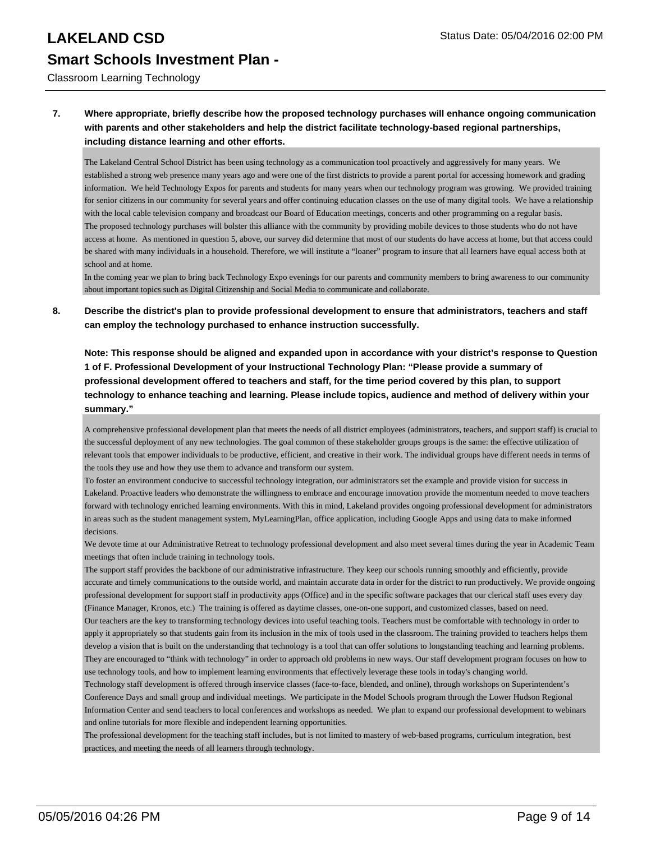Classroom Learning Technology

### **7. Where appropriate, briefly describe how the proposed technology purchases will enhance ongoing communication with parents and other stakeholders and help the district facilitate technology-based regional partnerships, including distance learning and other efforts.**

The Lakeland Central School District has been using technology as a communication tool proactively and aggressively for many years. We established a strong web presence many years ago and were one of the first districts to provide a parent portal for accessing homework and grading information. We held Technology Expos for parents and students for many years when our technology program was growing. We provided training for senior citizens in our community for several years and offer continuing education classes on the use of many digital tools. We have a relationship with the local cable television company and broadcast our Board of Education meetings, concerts and other programming on a regular basis. The proposed technology purchases will bolster this alliance with the community by providing mobile devices to those students who do not have access at home. As mentioned in question 5, above, our survey did determine that most of our students do have access at home, but that access could be shared with many individuals in a household. Therefore, we will institute a "loaner" program to insure that all learners have equal access both at school and at home.

In the coming year we plan to bring back Technology Expo evenings for our parents and community members to bring awareness to our community about important topics such as Digital Citizenship and Social Media to communicate and collaborate.

**8. Describe the district's plan to provide professional development to ensure that administrators, teachers and staff can employ the technology purchased to enhance instruction successfully.**

**Note: This response should be aligned and expanded upon in accordance with your district's response to Question 1 of F. Professional Development of your Instructional Technology Plan: "Please provide a summary of professional development offered to teachers and staff, for the time period covered by this plan, to support technology to enhance teaching and learning. Please include topics, audience and method of delivery within your summary."**

A comprehensive professional development plan that meets the needs of all district employees (administrators, teachers, and support staff) is crucial to the successful deployment of any new technologies. The goal common of these stakeholder groups groups is the same: the effective utilization of relevant tools that empower individuals to be productive, efficient, and creative in their work. The individual groups have different needs in terms of the tools they use and how they use them to advance and transform our system.

To foster an environment conducive to successful technology integration, our administrators set the example and provide vision for success in Lakeland. Proactive leaders who demonstrate the willingness to embrace and encourage innovation provide the momentum needed to move teachers forward with technology enriched learning environments. With this in mind, Lakeland provides ongoing professional development for administrators in areas such as the student management system, MyLearningPlan, office application, including Google Apps and using data to make informed decisions.

We devote time at our Administrative Retreat to technology professional development and also meet several times during the year in Academic Team meetings that often include training in technology tools.

The support staff provides the backbone of our administrative infrastructure. They keep our schools running smoothly and efficiently, provide accurate and timely communications to the outside world, and maintain accurate data in order for the district to run productively. We provide ongoing professional development for support staff in productivity apps (Office) and in the specific software packages that our clerical staff uses every day (Finance Manager, Kronos, etc.) The training is offered as daytime classes, one-on-one support, and customized classes, based on need. Our teachers are the key to transforming technology devices into useful teaching tools. Teachers must be comfortable with technology in order to apply it appropriately so that students gain from its inclusion in the mix of tools used in the classroom. The training provided to teachers helps them

develop a vision that is built on the understanding that technology is a tool that can offer solutions to longstanding teaching and learning problems. They are encouraged to "think with technology" in order to approach old problems in new ways. Our staff development program focuses on how to use technology tools, and how to implement learning environments that effectively leverage these tools in today's changing world.

Technology staff development is offered through inservice classes (face-to-face, blended, and online), through workshops on Superintendent's Conference Days and small group and individual meetings. We participate in the Model Schools program through the Lower Hudson Regional Information Center and send teachers to local conferences and workshops as needed. We plan to expand our professional development to webinars and online tutorials for more flexible and independent learning opportunities.

The professional development for the teaching staff includes, but is not limited to mastery of web-based programs, curriculum integration, best practices, and meeting the needs of all learners through technology.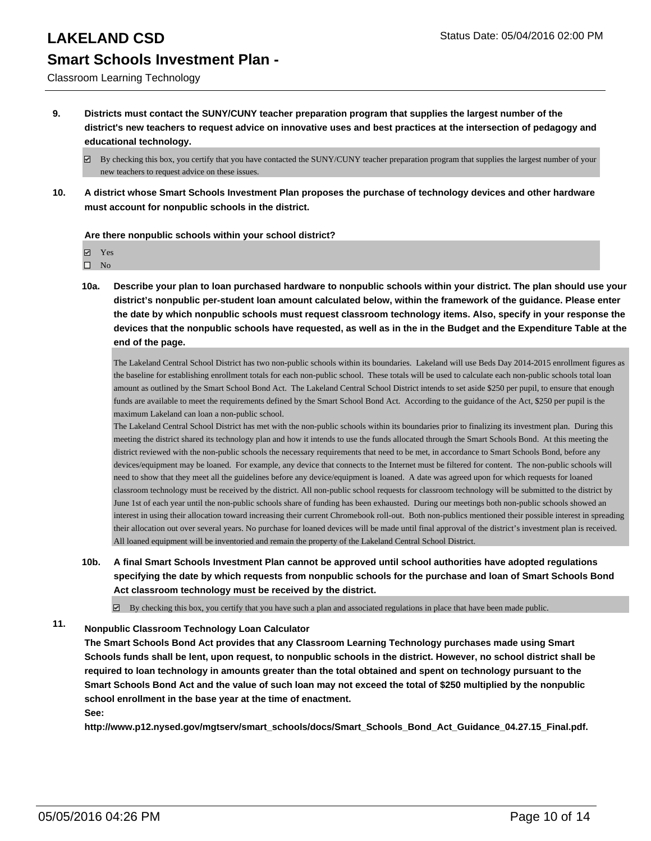Classroom Learning Technology

**9. Districts must contact the SUNY/CUNY teacher preparation program that supplies the largest number of the district's new teachers to request advice on innovative uses and best practices at the intersection of pedagogy and educational technology.**

**10. A district whose Smart Schools Investment Plan proposes the purchase of technology devices and other hardware must account for nonpublic schools in the district.**

### **Are there nonpublic schools within your school district?**

Yes

 $\square$  No

**10a. Describe your plan to loan purchased hardware to nonpublic schools within your district. The plan should use your district's nonpublic per-student loan amount calculated below, within the framework of the guidance. Please enter the date by which nonpublic schools must request classroom technology items. Also, specify in your response the devices that the nonpublic schools have requested, as well as in the in the Budget and the Expenditure Table at the end of the page.**

The Lakeland Central School District has two non-public schools within its boundaries. Lakeland will use Beds Day 2014-2015 enrollment figures as the baseline for establishing enrollment totals for each non-public school. These totals will be used to calculate each non-public schools total loan amount as outlined by the Smart School Bond Act. The Lakeland Central School District intends to set aside \$250 per pupil, to ensure that enough funds are available to meet the requirements defined by the Smart School Bond Act. According to the guidance of the Act, \$250 per pupil is the maximum Lakeland can loan a non-public school.

The Lakeland Central School District has met with the non-public schools within its boundaries prior to finalizing its investment plan. During this meeting the district shared its technology plan and how it intends to use the funds allocated through the Smart Schools Bond. At this meeting the district reviewed with the non-public schools the necessary requirements that need to be met, in accordance to Smart Schools Bond, before any devices/equipment may be loaned. For example, any device that connects to the Internet must be filtered for content. The non-public schools will need to show that they meet all the guidelines before any device/equipment is loaned. A date was agreed upon for which requests for loaned classroom technology must be received by the district. All non-public school requests for classroom technology will be submitted to the district by June 1st of each year until the non-public schools share of funding has been exhausted. During our meetings both non-public schools showed an interest in using their allocation toward increasing their current Chromebook roll-out. Both non-publics mentioned their possible interest in spreading their allocation out over several years. No purchase for loaned devices will be made until final approval of the district's investment plan is received. All loaned equipment will be inventoried and remain the property of the Lakeland Central School District.

**10b. A final Smart Schools Investment Plan cannot be approved until school authorities have adopted regulations specifying the date by which requests from nonpublic schools for the purchase and loan of Smart Schools Bond Act classroom technology must be received by the district.**

 $\boxtimes$  By checking this box, you certify that you have such a plan and associated regulations in place that have been made public.

## **11. Nonpublic Classroom Technology Loan Calculator**

**The Smart Schools Bond Act provides that any Classroom Learning Technology purchases made using Smart Schools funds shall be lent, upon request, to nonpublic schools in the district. However, no school district shall be required to loan technology in amounts greater than the total obtained and spent on technology pursuant to the Smart Schools Bond Act and the value of such loan may not exceed the total of \$250 multiplied by the nonpublic school enrollment in the base year at the time of enactment. See:**

**http://www.p12.nysed.gov/mgtserv/smart\_schools/docs/Smart\_Schools\_Bond\_Act\_Guidance\_04.27.15\_Final.pdf.**

 $\boxtimes$  By checking this box, you certify that you have contacted the SUNY/CUNY teacher preparation program that supplies the largest number of your new teachers to request advice on these issues.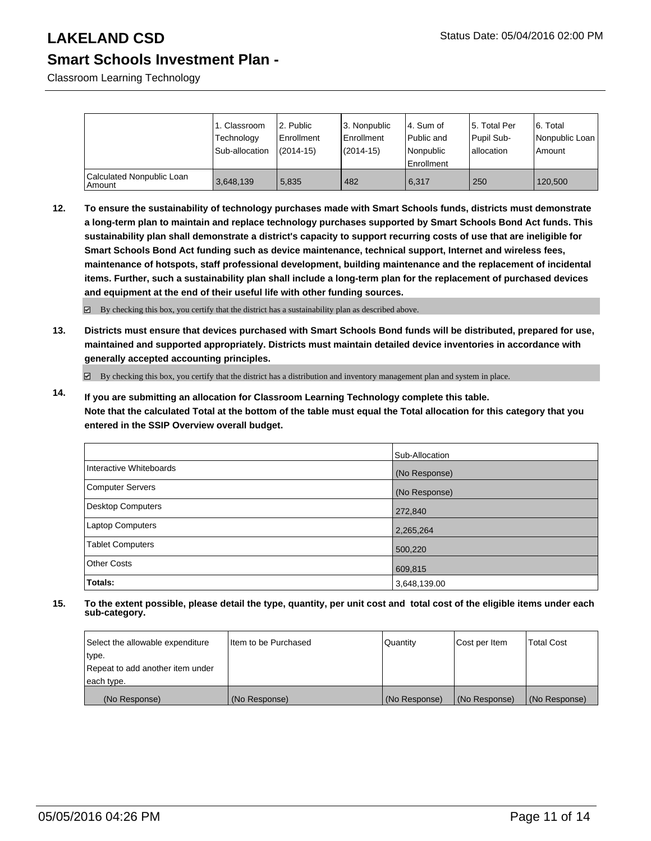Classroom Learning Technology

|                                     | 1. Classroom<br>Technology<br>Sub-allocation | 2. Public<br>Enrollment<br>$(2014 - 15)$ | 3. Nonpublic<br><b>Enrollment</b><br>$(2014 - 15)$ | 4. Sum of<br>Public and<br>Nonpublic<br>Enrollment | 15. Total Per<br>Pupil Sub-<br>lallocation | 6. Total<br>Nonpublic Loan<br>l Amount |
|-------------------------------------|----------------------------------------------|------------------------------------------|----------------------------------------------------|----------------------------------------------------|--------------------------------------------|----------------------------------------|
| Calculated Nonpublic Loan<br>Amount | 3,648,139                                    | 5,835                                    | 482                                                | 6.317                                              | 250                                        | 120,500                                |

**12. To ensure the sustainability of technology purchases made with Smart Schools funds, districts must demonstrate a long-term plan to maintain and replace technology purchases supported by Smart Schools Bond Act funds. This sustainability plan shall demonstrate a district's capacity to support recurring costs of use that are ineligible for Smart Schools Bond Act funding such as device maintenance, technical support, Internet and wireless fees, maintenance of hotspots, staff professional development, building maintenance and the replacement of incidental items. Further, such a sustainability plan shall include a long-term plan for the replacement of purchased devices and equipment at the end of their useful life with other funding sources.**

By checking this box, you certify that the district has a sustainability plan as described above.

**13. Districts must ensure that devices purchased with Smart Schools Bond funds will be distributed, prepared for use, maintained and supported appropriately. Districts must maintain detailed device inventories in accordance with generally accepted accounting principles.**

By checking this box, you certify that the district has a distribution and inventory management plan and system in place.

**14. If you are submitting an allocation for Classroom Learning Technology complete this table. Note that the calculated Total at the bottom of the table must equal the Total allocation for this category that you entered in the SSIP Overview overall budget.**

|                         | Sub-Allocation |
|-------------------------|----------------|
| Interactive Whiteboards | (No Response)  |
| Computer Servers        | (No Response)  |
| Desktop Computers       | 272,840        |
| <b>Laptop Computers</b> | 2,265,264      |
| <b>Tablet Computers</b> | 500,220        |
| <b>Other Costs</b>      | 609,815        |
| Totals:                 | 3,648,139.00   |

| Select the allowable expenditure | Iltem to be Purchased | Quantity      | Cost per Item | <b>Total Cost</b> |
|----------------------------------|-----------------------|---------------|---------------|-------------------|
| type.                            |                       |               |               |                   |
| Repeat to add another item under |                       |               |               |                   |
| each type.                       |                       |               |               |                   |
| (No Response)                    | (No Response)         | (No Response) | (No Response) | (No Response)     |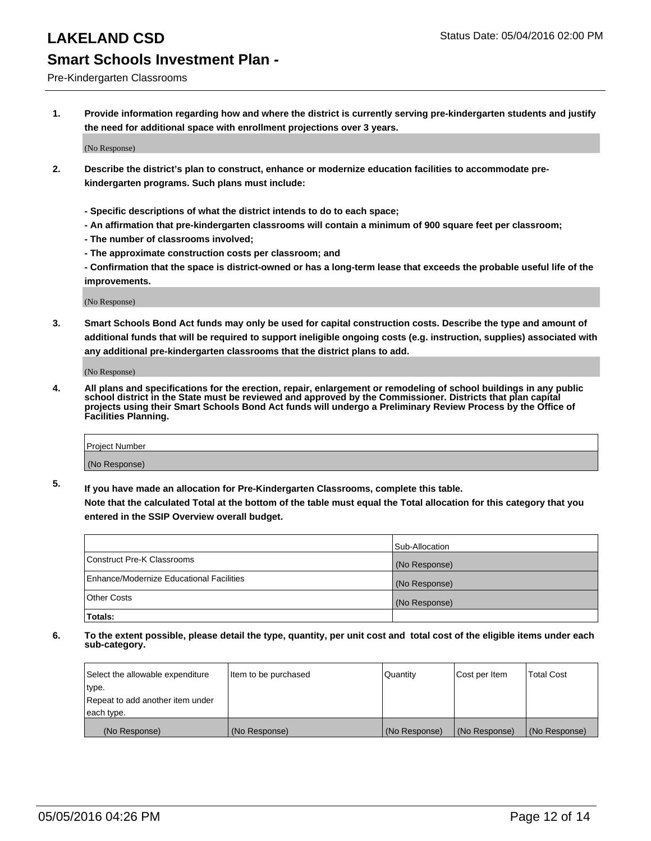### Pre-Kindergarten Classrooms

**1. Provide information regarding how and where the district is currently serving pre-kindergarten students and justify the need for additional space with enrollment projections over 3 years.**

(No Response)

- **2. Describe the district's plan to construct, enhance or modernize education facilities to accommodate prekindergarten programs. Such plans must include:**
	- **Specific descriptions of what the district intends to do to each space;**
	- **An affirmation that pre-kindergarten classrooms will contain a minimum of 900 square feet per classroom;**
	- **The number of classrooms involved;**
	- **The approximate construction costs per classroom; and**
	- **Confirmation that the space is district-owned or has a long-term lease that exceeds the probable useful life of the improvements.**

(No Response)

**3. Smart Schools Bond Act funds may only be used for capital construction costs. Describe the type and amount of additional funds that will be required to support ineligible ongoing costs (e.g. instruction, supplies) associated with any additional pre-kindergarten classrooms that the district plans to add.**

(No Response)

**4. All plans and specifications for the erection, repair, enlargement or remodeling of school buildings in any public school district in the State must be reviewed and approved by the Commissioner. Districts that plan capital projects using their Smart Schools Bond Act funds will undergo a Preliminary Review Process by the Office of Facilities Planning.**

| Project Number |  |
|----------------|--|
| (No Response)  |  |

**5. If you have made an allocation for Pre-Kindergarten Classrooms, complete this table. Note that the calculated Total at the bottom of the table must equal the Total allocation for this category that you**

**entered in the SSIP Overview overall budget.**

|                                          | Sub-Allocation |
|------------------------------------------|----------------|
| Construct Pre-K Classrooms               | (No Response)  |
| Enhance/Modernize Educational Facilities | (No Response)  |
| Other Costs                              | (No Response)  |
| Totals:                                  |                |

| Select the allowable expenditure | Item to be purchased | Quantity      | Cost per Item | <b>Total Cost</b> |
|----------------------------------|----------------------|---------------|---------------|-------------------|
| type.                            |                      |               |               |                   |
| Repeat to add another item under |                      |               |               |                   |
| each type.                       |                      |               |               |                   |
| (No Response)                    | (No Response)        | (No Response) | (No Response) | (No Response)     |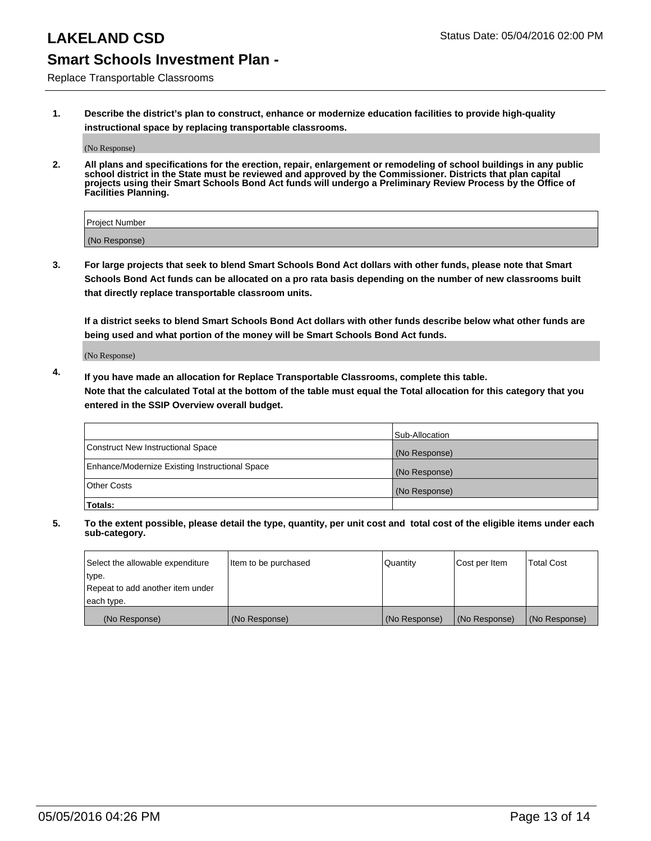Replace Transportable Classrooms

**1. Describe the district's plan to construct, enhance or modernize education facilities to provide high-quality instructional space by replacing transportable classrooms.**

(No Response)

**2. All plans and specifications for the erection, repair, enlargement or remodeling of school buildings in any public school district in the State must be reviewed and approved by the Commissioner. Districts that plan capital projects using their Smart Schools Bond Act funds will undergo a Preliminary Review Process by the Office of Facilities Planning.**

| Project Number |  |
|----------------|--|
| (No Response)  |  |

**3. For large projects that seek to blend Smart Schools Bond Act dollars with other funds, please note that Smart Schools Bond Act funds can be allocated on a pro rata basis depending on the number of new classrooms built that directly replace transportable classroom units.**

**If a district seeks to blend Smart Schools Bond Act dollars with other funds describe below what other funds are being used and what portion of the money will be Smart Schools Bond Act funds.**

(No Response)

**4. If you have made an allocation for Replace Transportable Classrooms, complete this table. Note that the calculated Total at the bottom of the table must equal the Total allocation for this category that you entered in the SSIP Overview overall budget.**

|                                                | Sub-Allocation |
|------------------------------------------------|----------------|
| Construct New Instructional Space              | (No Response)  |
| Enhance/Modernize Existing Instructional Space | (No Response)  |
| <b>Other Costs</b>                             | (No Response)  |
| Totals:                                        |                |

| Select the allowable expenditure | Item to be purchased | Quantity      | Cost per Item | <b>Total Cost</b> |
|----------------------------------|----------------------|---------------|---------------|-------------------|
| type.                            |                      |               |               |                   |
| Repeat to add another item under |                      |               |               |                   |
| each type.                       |                      |               |               |                   |
| (No Response)                    | (No Response)        | (No Response) | (No Response) | (No Response)     |